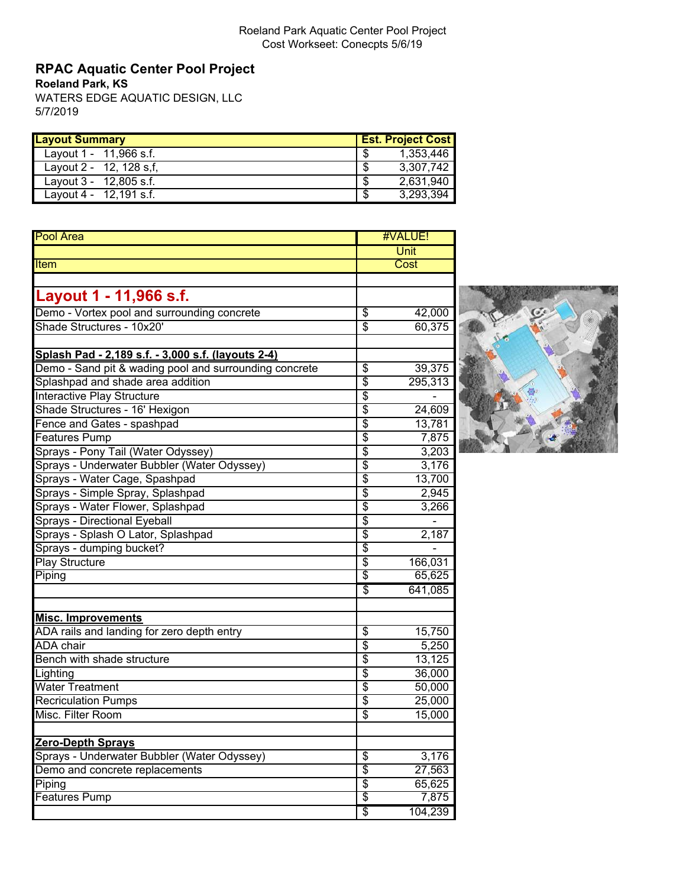# **RPAC Aquatic Center Pool Project**

**Roeland Park, KS**

WATERS EDGE AQUATIC DESIGN, LLC 5/7/2019

| <b>Layout Summary</b>       | <b>Est. Project Cost</b> |
|-----------------------------|--------------------------|
| Layout 1 - 11,966 s.f.      | - \$<br>1.353.446        |
| Layout $2 - 12$ , 128 s, f, | 3.307.742<br>S           |
| Layout $3 - 12,805$ s.f.    | 2,631,940<br>\$          |
| Layout 4 - $12,191$ s.f.    | 3,293,394<br>- \$        |

| Unit<br><b>Item</b><br>Cost<br>Layout 1 - 11,966 s.f.<br>Demo - Vortex pool and surrounding concrete<br>\$<br>42,000<br>Shade Structures - 10x20'<br>$\overline{\$}$<br>60,375<br>Splash Pad - 2,189 s.f. - 3,000 s.f. (layouts 2-4)<br>Demo - Sand pit & wading pool and surrounding concrete<br>39,375<br>\$<br>\$<br>Splashpad and shade area addition<br>295,313<br>\$<br>Interactive Play Structure<br>\$<br>Shade Structures - 16' Hexigon<br>24,609<br>$\overline{\$}$<br>Fence and Gates - spashpad<br>13,781<br>$\overline{\$}$<br><b>Features Pump</b><br>7,875<br>\$<br>Sprays - Pony Tail (Water Odyssey)<br>3,203<br>\$<br>Sprays - Underwater Bubbler (Water Odyssey)<br>3,176<br>$\overline{\$}$<br>13,700<br>Sprays - Water Cage, Spashpad<br>\$<br>Sprays - Simple Spray, Splashpad<br>2,945<br>\$<br>Sprays - Water Flower, Splashpad<br>3,266<br>\$<br><b>Sprays - Directional Eyeball</b><br>$\overline{\$}$<br>Sprays - Splash O Lator, Splashpad<br>2,187<br>Sprays - dumping bucket?<br>$\overline{\$}$<br>$\overline{\$}$<br>Play Structure<br>166,031<br>\$<br>65,625<br>Piping<br>\$<br>641,085<br><b>Misc. Improvements</b><br>ADA rails and landing for zero depth entry<br>\$<br>15,750<br>\$<br>5,250<br><b>ADA</b> chair<br>$\overline{\$}$<br>Bench with shade structure<br>13,125<br>$\overline{\$}$<br>36,000<br>Lighting<br>$\overline{\$}$<br><b>Water Treatment</b><br>50,000<br>$\overline{\$}$<br><b>Recriculation Pumps</b><br>25,000<br>$\overline{\$}$<br>Misc. Filter Room<br>15,000<br><b>Zero-Depth Sprays</b><br>Sprays - Underwater Bubbler (Water Odyssey)<br>\$<br>3,176<br>$\overline{\$}$<br>Demo and concrete replacements<br>27,563<br>$\overline{\$}$<br>65,625<br>Piping<br>\$<br><b>Features Pump</b><br>7,875<br>\$<br>104,239 | <b>Pool Area</b> | #VALUE! |  |
|-----------------------------------------------------------------------------------------------------------------------------------------------------------------------------------------------------------------------------------------------------------------------------------------------------------------------------------------------------------------------------------------------------------------------------------------------------------------------------------------------------------------------------------------------------------------------------------------------------------------------------------------------------------------------------------------------------------------------------------------------------------------------------------------------------------------------------------------------------------------------------------------------------------------------------------------------------------------------------------------------------------------------------------------------------------------------------------------------------------------------------------------------------------------------------------------------------------------------------------------------------------------------------------------------------------------------------------------------------------------------------------------------------------------------------------------------------------------------------------------------------------------------------------------------------------------------------------------------------------------------------------------------------------------------------------------------------------------------------------------------------------------------------------------|------------------|---------|--|
|                                                                                                                                                                                                                                                                                                                                                                                                                                                                                                                                                                                                                                                                                                                                                                                                                                                                                                                                                                                                                                                                                                                                                                                                                                                                                                                                                                                                                                                                                                                                                                                                                                                                                                                                                                                         |                  |         |  |
|                                                                                                                                                                                                                                                                                                                                                                                                                                                                                                                                                                                                                                                                                                                                                                                                                                                                                                                                                                                                                                                                                                                                                                                                                                                                                                                                                                                                                                                                                                                                                                                                                                                                                                                                                                                         |                  |         |  |
|                                                                                                                                                                                                                                                                                                                                                                                                                                                                                                                                                                                                                                                                                                                                                                                                                                                                                                                                                                                                                                                                                                                                                                                                                                                                                                                                                                                                                                                                                                                                                                                                                                                                                                                                                                                         |                  |         |  |
|                                                                                                                                                                                                                                                                                                                                                                                                                                                                                                                                                                                                                                                                                                                                                                                                                                                                                                                                                                                                                                                                                                                                                                                                                                                                                                                                                                                                                                                                                                                                                                                                                                                                                                                                                                                         |                  |         |  |
|                                                                                                                                                                                                                                                                                                                                                                                                                                                                                                                                                                                                                                                                                                                                                                                                                                                                                                                                                                                                                                                                                                                                                                                                                                                                                                                                                                                                                                                                                                                                                                                                                                                                                                                                                                                         |                  |         |  |
|                                                                                                                                                                                                                                                                                                                                                                                                                                                                                                                                                                                                                                                                                                                                                                                                                                                                                                                                                                                                                                                                                                                                                                                                                                                                                                                                                                                                                                                                                                                                                                                                                                                                                                                                                                                         |                  |         |  |
|                                                                                                                                                                                                                                                                                                                                                                                                                                                                                                                                                                                                                                                                                                                                                                                                                                                                                                                                                                                                                                                                                                                                                                                                                                                                                                                                                                                                                                                                                                                                                                                                                                                                                                                                                                                         |                  |         |  |
|                                                                                                                                                                                                                                                                                                                                                                                                                                                                                                                                                                                                                                                                                                                                                                                                                                                                                                                                                                                                                                                                                                                                                                                                                                                                                                                                                                                                                                                                                                                                                                                                                                                                                                                                                                                         |                  |         |  |
|                                                                                                                                                                                                                                                                                                                                                                                                                                                                                                                                                                                                                                                                                                                                                                                                                                                                                                                                                                                                                                                                                                                                                                                                                                                                                                                                                                                                                                                                                                                                                                                                                                                                                                                                                                                         |                  |         |  |
|                                                                                                                                                                                                                                                                                                                                                                                                                                                                                                                                                                                                                                                                                                                                                                                                                                                                                                                                                                                                                                                                                                                                                                                                                                                                                                                                                                                                                                                                                                                                                                                                                                                                                                                                                                                         |                  |         |  |
|                                                                                                                                                                                                                                                                                                                                                                                                                                                                                                                                                                                                                                                                                                                                                                                                                                                                                                                                                                                                                                                                                                                                                                                                                                                                                                                                                                                                                                                                                                                                                                                                                                                                                                                                                                                         |                  |         |  |
|                                                                                                                                                                                                                                                                                                                                                                                                                                                                                                                                                                                                                                                                                                                                                                                                                                                                                                                                                                                                                                                                                                                                                                                                                                                                                                                                                                                                                                                                                                                                                                                                                                                                                                                                                                                         |                  |         |  |
|                                                                                                                                                                                                                                                                                                                                                                                                                                                                                                                                                                                                                                                                                                                                                                                                                                                                                                                                                                                                                                                                                                                                                                                                                                                                                                                                                                                                                                                                                                                                                                                                                                                                                                                                                                                         |                  |         |  |
|                                                                                                                                                                                                                                                                                                                                                                                                                                                                                                                                                                                                                                                                                                                                                                                                                                                                                                                                                                                                                                                                                                                                                                                                                                                                                                                                                                                                                                                                                                                                                                                                                                                                                                                                                                                         |                  |         |  |
|                                                                                                                                                                                                                                                                                                                                                                                                                                                                                                                                                                                                                                                                                                                                                                                                                                                                                                                                                                                                                                                                                                                                                                                                                                                                                                                                                                                                                                                                                                                                                                                                                                                                                                                                                                                         |                  |         |  |
|                                                                                                                                                                                                                                                                                                                                                                                                                                                                                                                                                                                                                                                                                                                                                                                                                                                                                                                                                                                                                                                                                                                                                                                                                                                                                                                                                                                                                                                                                                                                                                                                                                                                                                                                                                                         |                  |         |  |
|                                                                                                                                                                                                                                                                                                                                                                                                                                                                                                                                                                                                                                                                                                                                                                                                                                                                                                                                                                                                                                                                                                                                                                                                                                                                                                                                                                                                                                                                                                                                                                                                                                                                                                                                                                                         |                  |         |  |
|                                                                                                                                                                                                                                                                                                                                                                                                                                                                                                                                                                                                                                                                                                                                                                                                                                                                                                                                                                                                                                                                                                                                                                                                                                                                                                                                                                                                                                                                                                                                                                                                                                                                                                                                                                                         |                  |         |  |
|                                                                                                                                                                                                                                                                                                                                                                                                                                                                                                                                                                                                                                                                                                                                                                                                                                                                                                                                                                                                                                                                                                                                                                                                                                                                                                                                                                                                                                                                                                                                                                                                                                                                                                                                                                                         |                  |         |  |
|                                                                                                                                                                                                                                                                                                                                                                                                                                                                                                                                                                                                                                                                                                                                                                                                                                                                                                                                                                                                                                                                                                                                                                                                                                                                                                                                                                                                                                                                                                                                                                                                                                                                                                                                                                                         |                  |         |  |
|                                                                                                                                                                                                                                                                                                                                                                                                                                                                                                                                                                                                                                                                                                                                                                                                                                                                                                                                                                                                                                                                                                                                                                                                                                                                                                                                                                                                                                                                                                                                                                                                                                                                                                                                                                                         |                  |         |  |
|                                                                                                                                                                                                                                                                                                                                                                                                                                                                                                                                                                                                                                                                                                                                                                                                                                                                                                                                                                                                                                                                                                                                                                                                                                                                                                                                                                                                                                                                                                                                                                                                                                                                                                                                                                                         |                  |         |  |
|                                                                                                                                                                                                                                                                                                                                                                                                                                                                                                                                                                                                                                                                                                                                                                                                                                                                                                                                                                                                                                                                                                                                                                                                                                                                                                                                                                                                                                                                                                                                                                                                                                                                                                                                                                                         |                  |         |  |
|                                                                                                                                                                                                                                                                                                                                                                                                                                                                                                                                                                                                                                                                                                                                                                                                                                                                                                                                                                                                                                                                                                                                                                                                                                                                                                                                                                                                                                                                                                                                                                                                                                                                                                                                                                                         |                  |         |  |
|                                                                                                                                                                                                                                                                                                                                                                                                                                                                                                                                                                                                                                                                                                                                                                                                                                                                                                                                                                                                                                                                                                                                                                                                                                                                                                                                                                                                                                                                                                                                                                                                                                                                                                                                                                                         |                  |         |  |
|                                                                                                                                                                                                                                                                                                                                                                                                                                                                                                                                                                                                                                                                                                                                                                                                                                                                                                                                                                                                                                                                                                                                                                                                                                                                                                                                                                                                                                                                                                                                                                                                                                                                                                                                                                                         |                  |         |  |
|                                                                                                                                                                                                                                                                                                                                                                                                                                                                                                                                                                                                                                                                                                                                                                                                                                                                                                                                                                                                                                                                                                                                                                                                                                                                                                                                                                                                                                                                                                                                                                                                                                                                                                                                                                                         |                  |         |  |
|                                                                                                                                                                                                                                                                                                                                                                                                                                                                                                                                                                                                                                                                                                                                                                                                                                                                                                                                                                                                                                                                                                                                                                                                                                                                                                                                                                                                                                                                                                                                                                                                                                                                                                                                                                                         |                  |         |  |
|                                                                                                                                                                                                                                                                                                                                                                                                                                                                                                                                                                                                                                                                                                                                                                                                                                                                                                                                                                                                                                                                                                                                                                                                                                                                                                                                                                                                                                                                                                                                                                                                                                                                                                                                                                                         |                  |         |  |
|                                                                                                                                                                                                                                                                                                                                                                                                                                                                                                                                                                                                                                                                                                                                                                                                                                                                                                                                                                                                                                                                                                                                                                                                                                                                                                                                                                                                                                                                                                                                                                                                                                                                                                                                                                                         |                  |         |  |
|                                                                                                                                                                                                                                                                                                                                                                                                                                                                                                                                                                                                                                                                                                                                                                                                                                                                                                                                                                                                                                                                                                                                                                                                                                                                                                                                                                                                                                                                                                                                                                                                                                                                                                                                                                                         |                  |         |  |
|                                                                                                                                                                                                                                                                                                                                                                                                                                                                                                                                                                                                                                                                                                                                                                                                                                                                                                                                                                                                                                                                                                                                                                                                                                                                                                                                                                                                                                                                                                                                                                                                                                                                                                                                                                                         |                  |         |  |
|                                                                                                                                                                                                                                                                                                                                                                                                                                                                                                                                                                                                                                                                                                                                                                                                                                                                                                                                                                                                                                                                                                                                                                                                                                                                                                                                                                                                                                                                                                                                                                                                                                                                                                                                                                                         |                  |         |  |
|                                                                                                                                                                                                                                                                                                                                                                                                                                                                                                                                                                                                                                                                                                                                                                                                                                                                                                                                                                                                                                                                                                                                                                                                                                                                                                                                                                                                                                                                                                                                                                                                                                                                                                                                                                                         |                  |         |  |
|                                                                                                                                                                                                                                                                                                                                                                                                                                                                                                                                                                                                                                                                                                                                                                                                                                                                                                                                                                                                                                                                                                                                                                                                                                                                                                                                                                                                                                                                                                                                                                                                                                                                                                                                                                                         |                  |         |  |
|                                                                                                                                                                                                                                                                                                                                                                                                                                                                                                                                                                                                                                                                                                                                                                                                                                                                                                                                                                                                                                                                                                                                                                                                                                                                                                                                                                                                                                                                                                                                                                                                                                                                                                                                                                                         |                  |         |  |
|                                                                                                                                                                                                                                                                                                                                                                                                                                                                                                                                                                                                                                                                                                                                                                                                                                                                                                                                                                                                                                                                                                                                                                                                                                                                                                                                                                                                                                                                                                                                                                                                                                                                                                                                                                                         |                  |         |  |
|                                                                                                                                                                                                                                                                                                                                                                                                                                                                                                                                                                                                                                                                                                                                                                                                                                                                                                                                                                                                                                                                                                                                                                                                                                                                                                                                                                                                                                                                                                                                                                                                                                                                                                                                                                                         |                  |         |  |
|                                                                                                                                                                                                                                                                                                                                                                                                                                                                                                                                                                                                                                                                                                                                                                                                                                                                                                                                                                                                                                                                                                                                                                                                                                                                                                                                                                                                                                                                                                                                                                                                                                                                                                                                                                                         |                  |         |  |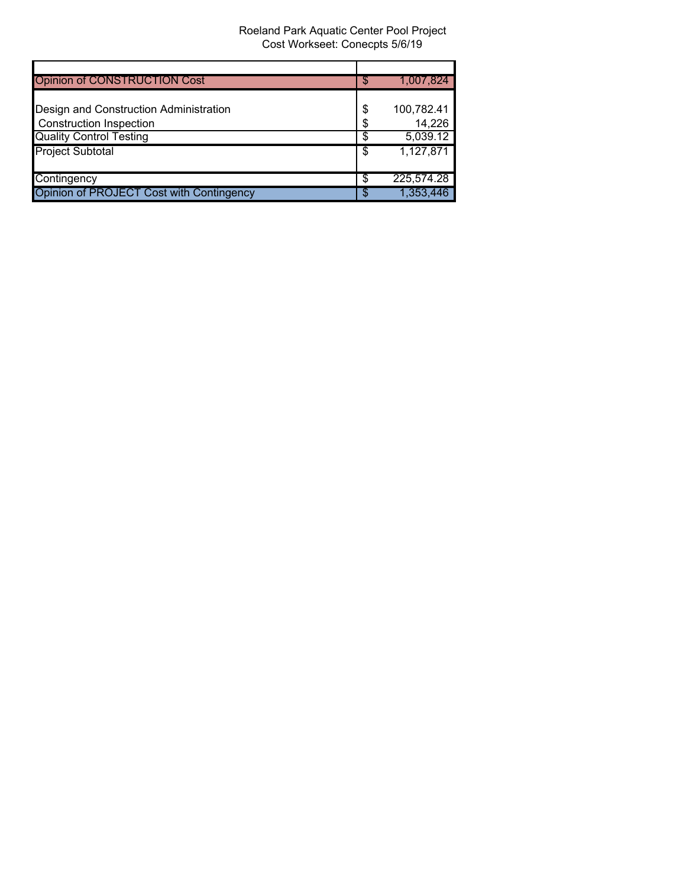| <b>Opinion of CONSTRUCTION Cost</b>      | S | 1,007,824  |
|------------------------------------------|---|------------|
|                                          |   |            |
| Design and Construction Administration   |   | 100,782.41 |
| <b>Construction Inspection</b>           | S | 14,226     |
| <b>Quality Control Testing</b>           |   | 5,039.12   |
| <b>Project Subtotal</b>                  | S | 1,127,871  |
|                                          |   |            |
| Contingency                              | S | 225,574.28 |
| Opinion of PROJECT Cost with Contingency |   | 1,353,446  |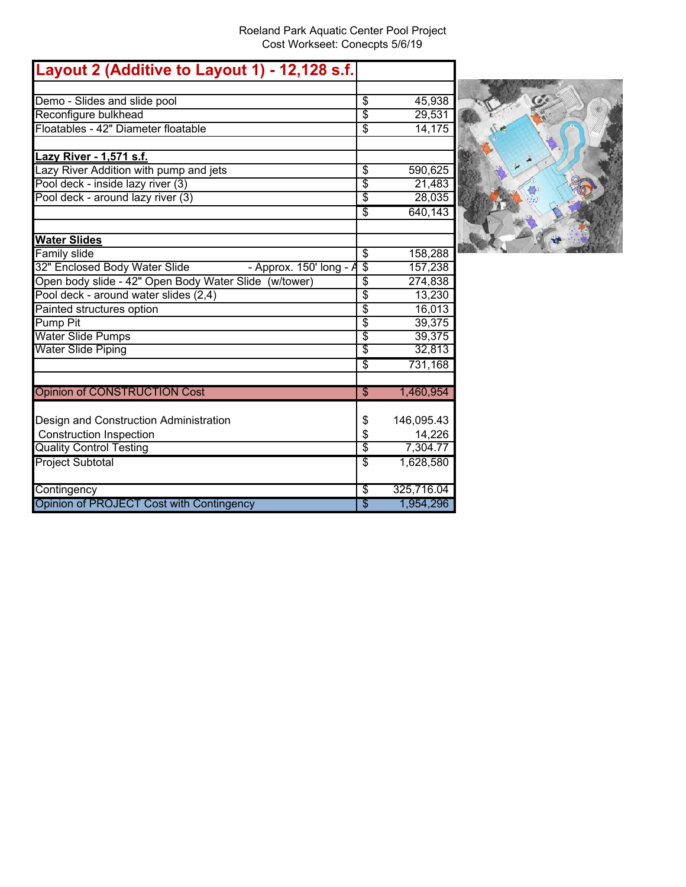O 

| Layout 2 (Additive to Layout 1) - 12,128 s.f.                |                                  |            |  |
|--------------------------------------------------------------|----------------------------------|------------|--|
|                                                              |                                  |            |  |
| Demo - Slides and slide pool                                 | \$                               | 45,938     |  |
| Reconfigure bulkhead                                         | $\overline{\mathcal{S}}$         | 29,531     |  |
| Floatables - 42" Diameter floatable                          | \$                               | 14,175     |  |
| Lazy River - 1,571 s.f.                                      |                                  |            |  |
| Lazy River Addition with pump and jets                       | \$                               | 590,625    |  |
| Pool deck - inside lazy river (3)                            | \$                               | 21,483     |  |
| Pool deck - around lazy river (3)                            | \$                               | 28,035     |  |
|                                                              | \$                               | 640,143    |  |
| <b>Water Slides</b>                                          |                                  |            |  |
| <b>Family slide</b>                                          | $\overline{\mathcal{S}}$         | 158,288    |  |
| 32" Enclosed Body Water Slide<br>- Approx. $150'$ long - $A$ | $\overline{\$}$                  | 157,238    |  |
| Open body slide - 42" Open Body Water Slide (w/tower)        | \$                               | 274,838    |  |
| Pool deck - around water slides (2,4)                        | $\overline{\$}$                  | 13,230     |  |
| Painted structures option                                    | $\overline{\boldsymbol{\theta}}$ | 16,013     |  |
| <b>Pump Pit</b>                                              | $\overline{\boldsymbol{\theta}}$ | 39,375     |  |
| <b>Water Slide Pumps</b>                                     | \$                               | 39,375     |  |
| <b>Water Slide Piping</b>                                    | \$                               | 32,813     |  |
|                                                              | $\overline{\mathcal{S}}$         | 731,168    |  |
| <b>Opinion of CONSTRUCTION Cost</b>                          | $\sqrt[6]{3}$                    | 1,460,954  |  |
| Design and Construction Administration                       | \$                               | 146,095.43 |  |
| <b>Construction Inspection</b>                               | \$                               | 14,226     |  |
| <b>Quality Control Testing</b>                               | \$                               | 7,304.77   |  |
| <b>Project Subtotal</b>                                      | S                                | 1,628,580  |  |
| Contingency                                                  | \$                               | 325,716.04 |  |
| Opinion of PROJECT Cost with Contingency                     | \$                               | 1,954,296  |  |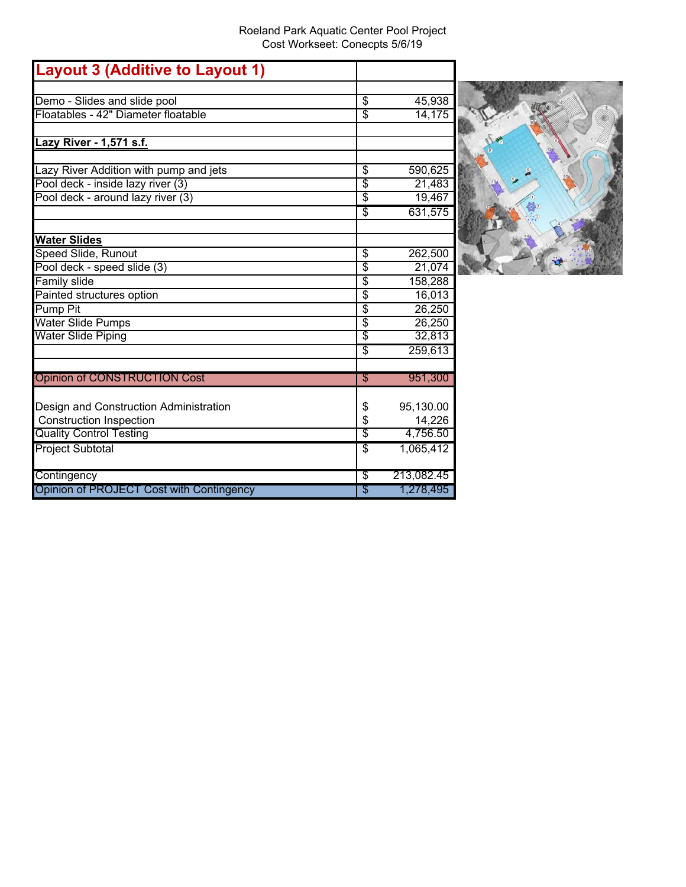| <b>Layout 3 (Additive to Layout 1)</b>   |                 |            |
|------------------------------------------|-----------------|------------|
|                                          |                 |            |
| Demo - Slides and slide pool             | \$              | 45,938     |
| Floatables - 42" Diameter floatable      | \$              | 14,175     |
| Lazy River - 1,571 s.f.                  |                 |            |
| azy River Addition with pump and jets    | $\overline{\$}$ | 590,625    |
| Pool deck - inside lazy river (3)        | $\overline{\$}$ | 21,483     |
| Pool deck - around lazy river (3)        | $\overline{\$}$ | 19,467     |
|                                          | \$              | 631,575    |
| <b>Water Slides</b>                      |                 |            |
| Speed Slide, Runout                      | \$              | 262,500    |
| Pool deck - speed slide (3)              | $\overline{\$}$ | 21,074     |
| <b>Family slide</b>                      | $\overline{\$}$ | 158,288    |
| Painted structures option                | \$              | 16,013     |
| <b>Pump Pit</b>                          | $\overline{\$}$ | 26,250     |
| <b>Water Slide Pumps</b>                 | $\overline{\$}$ | 26,250     |
| Water Slide Piping                       | \$              | 32,813     |
|                                          | \$              | 259,613    |
| <b>Opinion of CONSTRUCTION Cost</b>      | S               | 951,300    |
| Design and Construction Administration   | \$              | 95,130.00  |
| <b>Construction Inspection</b>           | \$              | 14,226     |
| <b>Quality Control Testing</b>           | $\overline{\$}$ | 4,756.50   |
| <b>Project Subtotal</b>                  | \$              | 1,065,412  |
| Contingency                              | \$              | 213,082.45 |
| Opinion of PROJECT Cost with Contingency | \$              | 1,278,495  |